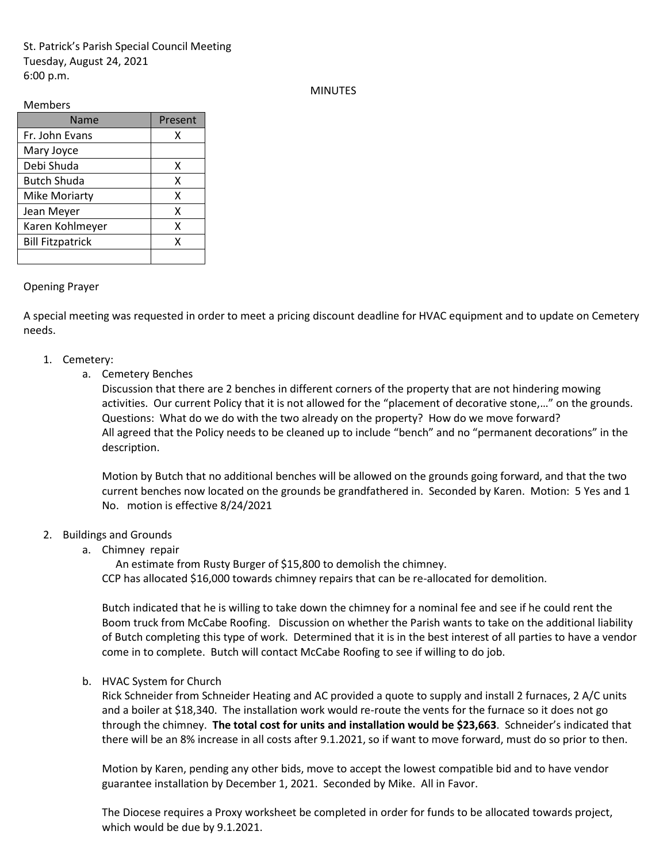St. Patrick's Parish Special Council Meeting Tuesday, August 24, 2021 6:00 p.m.

## MINUTES

#### Members

| Name                    | Present |
|-------------------------|---------|
| Fr. John Evans          | х       |
| Mary Joyce              |         |
| Debi Shuda              | х       |
| <b>Butch Shuda</b>      | x       |
| <b>Mike Moriarty</b>    | x       |
| Jean Meyer              | x       |
| Karen Kohlmeyer         | x       |
| <b>Bill Fitzpatrick</b> | x       |
|                         |         |

## Opening Prayer

A special meeting was requested in order to meet a pricing discount deadline for HVAC equipment and to update on Cemetery needs.

# 1. Cemetery:

a. Cemetery Benches

Discussion that there are 2 benches in different corners of the property that are not hindering mowing activities. Our current Policy that it is not allowed for the "placement of decorative stone,…" on the grounds. Questions: What do we do with the two already on the property? How do we move forward? All agreed that the Policy needs to be cleaned up to include "bench" and no "permanent decorations" in the description.

Motion by Butch that no additional benches will be allowed on the grounds going forward, and that the two current benches now located on the grounds be grandfathered in. Seconded by Karen. Motion: 5 Yes and 1 No. motion is effective 8/24/2021

## 2. Buildings and Grounds

a. Chimney repair

 An estimate from Rusty Burger of \$15,800 to demolish the chimney. CCP has allocated \$16,000 towards chimney repairs that can be re-allocated for demolition.

Butch indicated that he is willing to take down the chimney for a nominal fee and see if he could rent the Boom truck from McCabe Roofing. Discussion on whether the Parish wants to take on the additional liability of Butch completing this type of work. Determined that it is in the best interest of all parties to have a vendor come in to complete. Butch will contact McCabe Roofing to see if willing to do job.

b. HVAC System for Church

Rick Schneider from Schneider Heating and AC provided a quote to supply and install 2 furnaces, 2 A/C units and a boiler at \$18,340. The installation work would re-route the vents for the furnace so it does not go through the chimney. **The total cost for units and installation would be \$23,663**. Schneider's indicated that there will be an 8% increase in all costs after 9.1.2021, so if want to move forward, must do so prior to then.

Motion by Karen, pending any other bids, move to accept the lowest compatible bid and to have vendor guarantee installation by December 1, 2021. Seconded by Mike. All in Favor.

The Diocese requires a Proxy worksheet be completed in order for funds to be allocated towards project, which would be due by 9.1.2021.